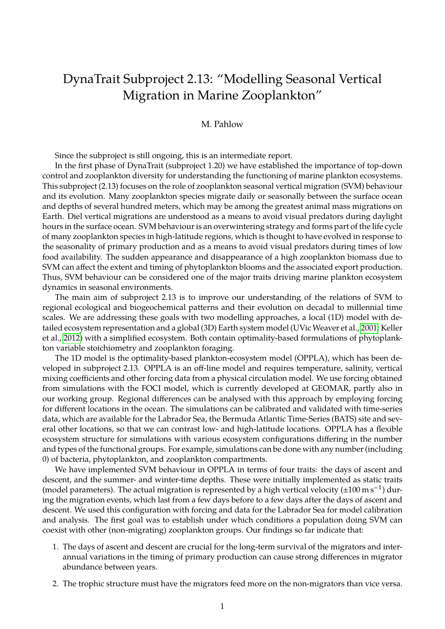## DynaTrait Subproject 2.13: "Modelling Seasonal Vertical Migration in Marine Zooplankton"

## M. Pahlow

Since the subproject is still ongoing, this is an intermediate report.

In the first phase of DynaTrait (subproject 1.20) we have established the importance of top-down control and zooplankton diversity for understanding the functioning of marine plankton ecosystems. This subproject (2.13) focuses on the role of zooplankton seasonal vertical migration (SVM) behaviour and its evolution. Many zooplankton species migrate daily or seasonally between the surface ocean and depths of several hundred meters, which may be among the greatest animal mass migrations on Earth. Diel vertical migrations are understood as a means to avoid visual predators during daylight hours in the surface ocean. SVM behaviour is an overwintering strategy and forms part of the life cycle of many zooplankton species in high-latitude regions, which is thought to have evolved in response to the seasonality of primary production and as a means to avoid visual predators during times of low food availability. The sudden appearance and disappearance of a high zooplankton biomass due to SVM can affect the extent and timing of phytoplankton blooms and the associated export production. Thus, SVM behaviour can be considered one of the major traits driving marine plankton ecosystem dynamics in seasonal environments.

The main aim of subproject 2.13 is to improve our understanding of the relations of SVM to regional ecological and biogeochemical patterns and their evolution on decadal to millennial time scales. We are addressing these goals with two modelling approaches, a local (1D) model with detailed ecosystem representation and a global (3D) Earth system model (UVic Weaver et al., [2001;](#page-2-0) Keller et al., [2012\)](#page-1-0) with a simplified ecosystem. Both contain optimality-based formulations of phytoplankton variable stoichiometry and zooplankton foraging.

The 1D model is the optimality-based plankton-ecosystem model (OPPLA), which has been developed in subproject 2.13. OPPLA is an off-line model and requires temperature, salinity, vertical mixing coefficients and other forcing data from a physical circulation model. We use forcing obtained from simulations with the FOCI model, which is currently developed at GEOMAR, partly also in our working group. Regional differences can be analysed with this approach by employing forcing for different locations in the ocean. The simulations can be calibrated and validated with time-series data, which are available for the Labrador Sea, the Bermuda Atlantic Time-Series (BATS) site and several other locations, so that we can contrast low- and high-latitude locations. OPPLA has a flexible ecosystem structure for simulations with various ecosystem configurations differing in the number and types of the functional groups. For example, simulations can be done with any number (including 0) of bacteria, phytoplankton, and zooplankton compartments.

We have implemented SVM behaviour in OPPLA in terms of four traits: the days of ascent and descent, and the summer- and winter-time depths. These were initially implemented as static traits (model parameters). The actual migration is represented by a high vertical velocity ( $\pm 100 \text{ m s}^{-1}$ ) during the migration events, which last from a few days before to a few days after the days of ascent and descent. We used this configuration with forcing and data for the Labrador Sea for model calibration and analysis. The first goal was to establish under which conditions a population doing SVM can coexist with other (non-migrating) zooplankton groups. Our findings so far indicate that:

- 1. The days of ascent and descent are crucial for the long-term survival of the migrators and interannual variations in the timing of primary production can cause strong differences in migrator abundance between years.
- 2. The trophic structure must have the migrators feed more on the non-migrators than vice versa.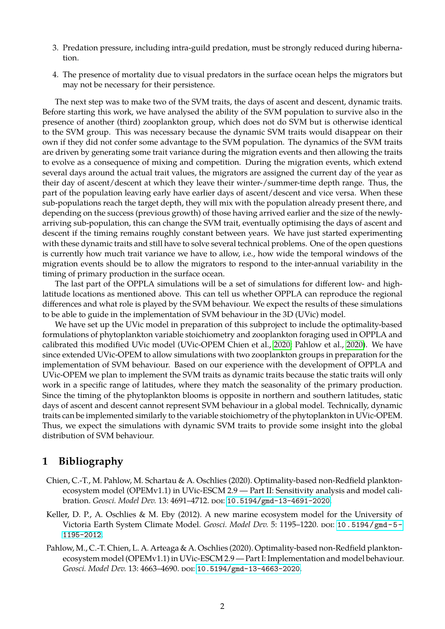- 3. Predation pressure, including intra-guild predation, must be strongly reduced during hibernation.
- 4. The presence of mortality due to visual predators in the surface ocean helps the migrators but may not be necessary for their persistence.

The next step was to make two of the SVM traits, the days of ascent and descent, dynamic traits. Before starting this work, we have analysed the ability of the SVM population to survive also in the presence of another (third) zooplankton group, which does not do SVM but is otherwise identical to the SVM group. This was necessary because the dynamic SVM traits would disappear on their own if they did not confer some advantage to the SVM population. The dynamics of the SVM traits are driven by generating some trait variance during the migration events and then allowing the traits to evolve as a consequence of mixing and competition. During the migration events, which extend several days around the actual trait values, the migrators are assigned the current day of the year as their day of ascent/descent at which they leave their winter-/summer-time depth range. Thus, the part of the population leaving early have earlier days of ascent/descent and vice versa. When these sub-populations reach the target depth, they will mix with the population already present there, and depending on the success (previous growth) of those having arrived earlier and the size of the newlyarriving sub-population, this can change the SVM trait, eventually optimising the days of ascent and descent if the timing remains roughly constant between years. We have just started experimenting with these dynamic traits and still have to solve several technical problems. One of the open questions is currently how much trait variance we have to allow, i.e., how wide the temporal windows of the migration events should be to allow the migrators to respond to the inter-annual variability in the timing of primary production in the surface ocean.

The last part of the OPPLA simulations will be a set of simulations for different low- and highlatitude locations as mentioned above. This can tell us whether OPPLA can reproduce the regional differences and what role is played by the SVM behaviour. We expect the results of these simulations to be able to guide in the implementation of SVM behaviour in the 3D (UVic) model.

We have set up the UVic model in preparation of this subproject to include the optimality-based formulations of phytoplankton variable stoichiometry and zooplankton foraging used in OPPLA and calibrated this modified UVic model (UVic-OPEM Chien et al., [2020;](#page-1-1) Pahlow et al., [2020\)](#page-1-2). We have since extended UVic-OPEM to allow simulations with two zooplankton groups in preparation for the implementation of SVM behaviour. Based on our experience with the development of OPPLA and UVic-OPEM we plan to implement the SVM traits as dynamic traits because the static traits will only work in a specific range of latitudes, where they match the seasonality of the primary production. Since the timing of the phytoplankton blooms is opposite in northern and southern latitudes, static days of ascent and descent cannot represent SVM behaviour in a global model. Technically, dynamic traits can be implemented similarly to the variable stoichiometry of the phytoplankton in UVic-OPEM. Thus, we expect the simulations with dynamic SVM traits to provide some insight into the global distribution of SVM behaviour.

## **1 Bibliography**

- <span id="page-1-1"></span>Chien, C.-T., M. Pahlow, M. Schartau & A. Oschlies (2020). Optimality-based non-Redfield planktonecosystem model (OPEMv1.1) in UVic-ESCM 2.9 — Part II: Sensitivity analysis and model calibration. *Geosci. Model Dev.* 13: 4691-4712. poi: [10.5194/gmd-13-4691-2020](https://doi.org/10.5194/gmd-13-4691-2020).
- <span id="page-1-0"></span>Keller, D. P., A. Oschlies & M. Eby (2012). A new marine ecosystem model for the University of Victoria Earth System Climate Model. *Geosci. Model Dev.* 5: 1195–1220. poi: [10.5194/gmd-5-](https://doi.org/10.5194/gmd-5-1195-2012) [1195-2012](https://doi.org/10.5194/gmd-5-1195-2012).
- <span id="page-1-2"></span>Pahlow, M., C.-T. Chien, L. A. Arteaga & A. Oschlies (2020). Optimality-based non-Redfield planktonecosystem model (OPEMv1.1) in UVic-ESCM 2.9 — Part I: Implementation and model behaviour. Geosci. Model Dev. 13: 4663-4690. poi: [10.5194/gmd-13-4663-2020](https://doi.org/10.5194/gmd-13-4663-2020).